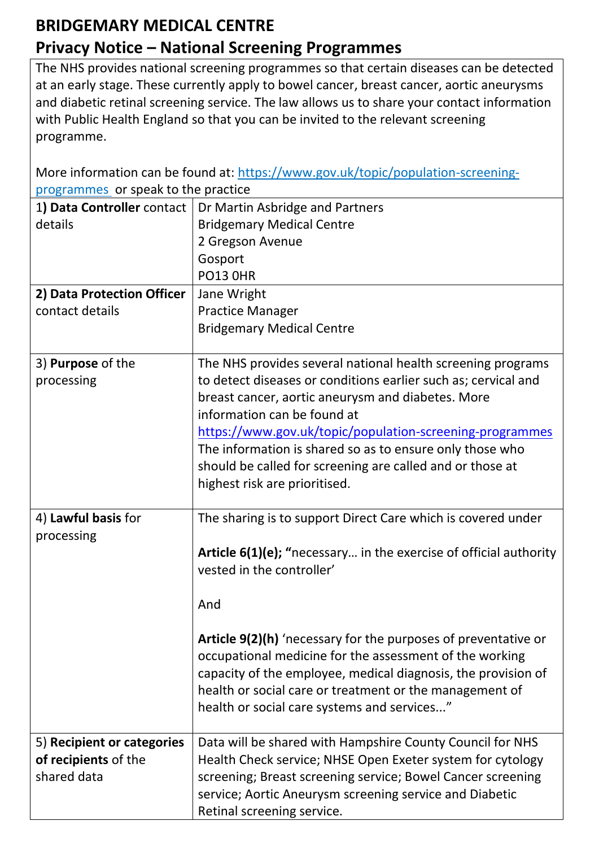## **BRIDGEMARY MEDICAL CENTRE Privacy Notice – National Screening Programmes**

The NHS provides national screening programmes so that certain diseases can be detected at an early stage. These currently apply to bowel cancer, breast cancer, aortic aneurysms and diabetic retinal screening service. The law allows us to share your contact information with Public Health England so that you can be invited to the relevant screening programme.

More information can be found at: [https://www.gov.uk/topic/population-screening](https://www.gov.uk/topic/population-screening-programmes)[programmes](https://www.gov.uk/topic/population-screening-programmes) or speak to the practice

| 1) Data Controller contact | Dr Martin Asbridge and Partners                                   |
|----------------------------|-------------------------------------------------------------------|
| details                    | <b>Bridgemary Medical Centre</b>                                  |
|                            | 2 Gregson Avenue                                                  |
|                            | Gosport                                                           |
|                            | <b>PO13 0HR</b>                                                   |
| 2) Data Protection Officer | Jane Wright                                                       |
| contact details            | <b>Practice Manager</b>                                           |
|                            | <b>Bridgemary Medical Centre</b>                                  |
|                            |                                                                   |
| 3) Purpose of the          | The NHS provides several national health screening programs       |
| processing                 | to detect diseases or conditions earlier such as; cervical and    |
|                            | breast cancer, aortic aneurysm and diabetes. More                 |
|                            | information can be found at                                       |
|                            | https://www.gov.uk/topic/population-screening-programmes          |
|                            | The information is shared so as to ensure only those who          |
|                            | should be called for screening are called and or those at         |
|                            | highest risk are prioritised.                                     |
|                            |                                                                   |
| 4) Lawful basis for        | The sharing is to support Direct Care which is covered under      |
| processing                 |                                                                   |
|                            | Article 6(1)(e); "necessary in the exercise of official authority |
|                            | vested in the controller'                                         |
|                            |                                                                   |
|                            | And                                                               |
|                            | Article 9(2)(h) 'necessary for the purposes of preventative or    |
|                            | occupational medicine for the assessment of the working           |
|                            | capacity of the employee, medical diagnosis, the provision of     |
|                            | health or social care or treatment or the management of           |
|                            | health or social care systems and services"                       |
|                            |                                                                   |
| 5) Recipient or categories | Data will be shared with Hampshire County Council for NHS         |
| of recipients of the       | Health Check service; NHSE Open Exeter system for cytology        |
| shared data                | screening; Breast screening service; Bowel Cancer screening       |
|                            | service; Aortic Aneurysm screening service and Diabetic           |
|                            | Retinal screening service.                                        |